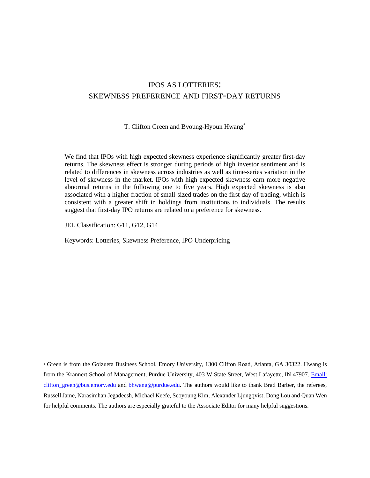# IPOS AS LOTTERIES: SKEWNESS PREFERENCE AND FIRST-DAY RETURNS

T. Clifton Green and Byoung-Hyoun Hwang\*

We find that IPOs with high expected skewness experience significantly greater first-day returns. The skewness effect is stronger during periods of high investor sentiment and is related to differences in skewness across industries as well as time-series variation in the level of skewness in the market. IPOs with high expected skewness earn more negative abnormal returns in the following one to five years. High expected skewness is also associated with a higher fraction of small-sized trades on the first day of trading, which is consistent with a greater shift in holdings from institutions to individuals. The results suggest that first-day IPO returns are related to a preference for skewness.

JEL Classification: G11, G12, G14

Keywords: Lotteries, Skewness Preference, IPO Underpricing

\* Green is from the Goizueta Business School, Emory University, 1300 Clifton Road, Atlanta, GA 30322. Hwang is from the Krannert School of Management, Purdue University, 403 W State Street, West Lafayette, IN 47907. Email: [clifton\\_green@bus.emory.edu and](mailto:clifton_green@bus.emory.edu) [bhwang@purdue.edu](mailto:bhwang@purdue.edu). The authors would like to thank Brad Barber, the referees, Russell Jame, Narasimhan Jegadeesh, Michael Keefe, Seoyoung Kim, Alexander Ljungqvist, Dong Lou and Quan Wen for helpful comments. The authors are especially grateful to the Associate Editor for many helpful suggestions.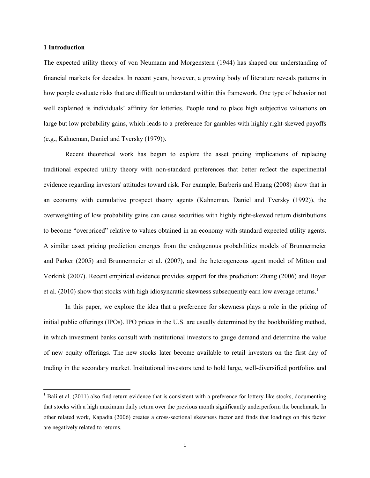### **1 Introduction**

 $\overline{\phantom{0}}$ 

The expected utility theory of von Neumann and Morgenstern (1944) has shaped our understanding of financial markets for decades. In recent years, however, a growing body of literature reveals patterns in how people evaluate risks that are difficult to understand within this framework. One type of behavior not well explained is individuals' affinity for lotteries. People tend to place high subjective valuations on large but low probability gains, which leads to a preference for gambles with highly right-skewed payoffs (e.g., Kahneman, Daniel and Tversky (1979)).

Recent theoretical work has begun to explore the asset pricing implications of replacing traditional expected utility theory with non-standard preferences that better reflect the experimental evidence regarding investors' attitudes toward risk. For example, Barberis and Huang (2008) show that in an economy with cumulative prospect theory agents (Kahneman, Daniel and Tversky (1992)), the overweighting of low probability gains can cause securities with highly right-skewed return distributions to become "overpriced" relative to values obtained in an economy with standard expected utility agents. A similar asset pricing prediction emerges from the endogenous probabilities models of Brunnermeier and Parker (2005) and Brunnermeier et al. (2007), and the heterogeneous agent model of Mitton and Vorkink (2007). Recent empirical evidence provides support for this prediction: Zhang (2006) and Boyer et al. (2010) show that stocks with high idiosyncratic skewness subsequently earn low average returns.<sup>1</sup>

In this paper, we explore the idea that a preference for skewness plays a role in the pricing of initial public offerings (IPOs). IPO prices in the U.S. are usually determined by the bookbuilding method, in which investment banks consult with institutional investors to gauge demand and determine the value of new equity offerings. The new stocks later become available to retail investors on the first day of trading in the secondary market. Institutional investors tend to hold large, well-diversified portfolios and

 $<sup>1</sup>$  Bali et al. (2011) also find return evidence that is consistent with a preference for lottery-like stocks, documenting</sup> that stocks with a high maximum daily return over the previous month significantly underperform the benchmark. In other related work, Kapadia (2006) creates a cross-sectional skewness factor and finds that loadings on this factor are negatively related to returns.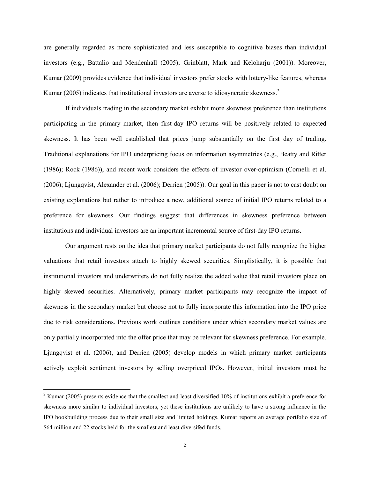are generally regarded as more sophisticated and less susceptible to cognitive biases than individual investors (e.g., Battalio and Mendenhall (2005); Grinblatt, Mark and Keloharju (2001)). Moreover, Kumar (2009) provides evidence that individual investors prefer stocks with lottery-like features, whereas Kumar (2005) indicates that institutional investors are averse to idiosyncratic skewness.<sup>2</sup>

If individuals trading in the secondary market exhibit more skewness preference than institutions participating in the primary market, then first-day IPO returns will be positively related to expected skewness. It has been well established that prices jump substantially on the first day of trading. Traditional explanations for IPO underpricing focus on information asymmetries (e.g., Beatty and Ritter (1986); Rock (1986)), and recent work considers the effects of investor over-optimism (Cornelli et al. (2006); Ljungqvist, Alexander et al. (2006); Derrien (2005)). Our goal in this paper is not to cast doubt on existing explanations but rather to introduce a new, additional source of initial IPO returns related to a preference for skewness. Our findings suggest that differences in skewness preference between institutions and individual investors are an important incremental source of first-day IPO returns.

Our argument rests on the idea that primary market participants do not fully recognize the higher valuations that retail investors attach to highly skewed securities. Simplistically, it is possible that institutional investors and underwriters do not fully realize the added value that retail investors place on highly skewed securities. Alternatively, primary market participants may recognize the impact of skewness in the secondary market but choose not to fully incorporate this information into the IPO price due to risk considerations. Previous work outlines conditions under which secondary market values are only partially incorporated into the offer price that may be relevant for skewness preference. For example, Ljungqvist et al. (2006), and Derrien (2005) develop models in which primary market participants actively exploit sentiment investors by selling overpriced IPOs. However, initial investors must be

 $2$  Kumar (2005) presents evidence that the smallest and least diversified 10% of institutions exhibit a preference for skewness more similar to individual investors, yet these institutions are unlikely to have a strong influence in the IPO bookbuilding process due to their small size and limited holdings. Kumar reports an average portfolio size of \$64 million and 22 stocks held for the smallest and least diversifed funds.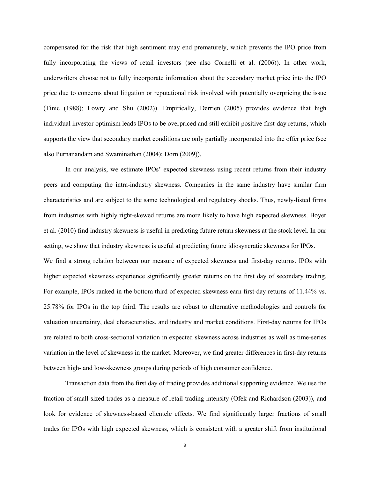compensated for the risk that high sentiment may end prematurely, which prevents the IPO price from fully incorporating the views of retail investors (see also Cornelli et al. (2006)). In other work, underwriters choose not to fully incorporate information about the secondary market price into the IPO price due to concerns about litigation or reputational risk involved with potentially overpricing the issue (Tinic (1988); Lowry and Shu (2002)). Empirically, Derrien (2005) provides evidence that high individual investor optimism leads IPOs to be overpriced and still exhibit positive first-day returns, which supports the view that secondary market conditions are only partially incorporated into the offer price (see also Purnanandam and Swaminathan (2004); Dorn (2009)).

In our analysis, we estimate IPOs' expected skewness using recent returns from their industry peers and computing the intra-industry skewness. Companies in the same industry have similar firm characteristics and are subject to the same technological and regulatory shocks. Thus, newly-listed firms from industries with highly right-skewed returns are more likely to have high expected skewness. Boyer et al. (2010) find industry skewness is useful in predicting future return skewness at the stock level. In our setting, we show that industry skewness is useful at predicting future idiosyncratic skewness for IPOs. We find a strong relation between our measure of expected skewness and first-day returns. IPOs with higher expected skewness experience significantly greater returns on the first day of secondary trading. For example, IPOs ranked in the bottom third of expected skewness earn first-day returns of 11.44% vs. 25.78% for IPOs in the top third. The results are robust to alternative methodologies and controls for valuation uncertainty, deal characteristics, and industry and market conditions. First-day returns for IPOs are related to both cross-sectional variation in expected skewness across industries as well as time-series variation in the level of skewness in the market. Moreover, we find greater differences in first-day returns between high- and low-skewness groups during periods of high consumer confidence.

Transaction data from the first day of trading provides additional supporting evidence. We use the fraction of small-sized trades as a measure of retail trading intensity (Ofek and Richardson (2003)), and look for evidence of skewness-based clientele effects. We find significantly larger fractions of small trades for IPOs with high expected skewness, which is consistent with a greater shift from institutional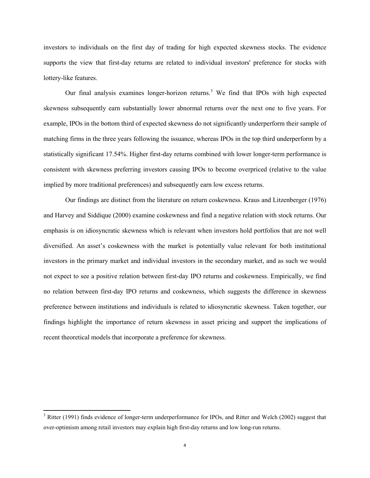investors to individuals on the first day of trading for high expected skewness stocks. The evidence supports the view that first-day returns are related to individual investors' preference for stocks with lottery-like features.

Our final analysis examines longer-horizon returns.<sup>3</sup> We find that IPOs with high expected skewness subsequently earn substantially lower abnormal returns over the next one to five years. For example, IPOs in the bottom third of expected skewness do not significantly underperform their sample of matching firms in the three years following the issuance, whereas IPOs in the top third underperform by a statistically significant 17.54%. Higher first-day returns combined with lower longer-term performance is consistent with skewness preferring investors causing IPOs to become overpriced (relative to the value implied by more traditional preferences) and subsequently earn low excess returns.

Our findings are distinct from the literature on return coskewness. Kraus and Litzenberger (1976) and Harvey and Siddique (2000) examine coskewness and find a negative relation with stock returns. Our emphasis is on idiosyncratic skewness which is relevant when investors hold portfolios that are not well diversified. An asset's coskewness with the market is potentially value relevant for both institutional investors in the primary market and individual investors in the secondary market, and as such we would not expect to see a positive relation between first-day IPO returns and coskewness. Empirically, we find no relation between first-day IPO returns and coskewness, which suggests the difference in skewness preference between institutions and individuals is related to idiosyncratic skewness. Taken together, our findings highlight the importance of return skewness in asset pricing and support the implications of recent theoretical models that incorporate a preference for skewness.

<sup>&</sup>lt;sup>3</sup> Ritter (1991) finds evidence of longer-term underperformance for IPOs, and Ritter and Welch (2002) suggest that over-optimism among retail investors may explain high first-day returns and low long-run returns.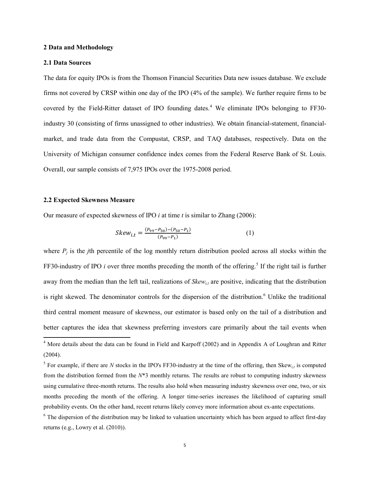### **2 Data and Methodology**

### **2.1 Data Sources**

The data for equity IPOs is from the Thomson Financial Securities Data new issues database. We exclude firms not covered by CRSP within one day of the IPO (4% of the sample). We further require firms to be covered by the Field-Ritter dataset of IPO founding dates.<sup>4</sup> We eliminate IPOs belonging to FF30industry 30 (consisting of firms unassigned to other industries). We obtain financial-statement, financialmarket, and trade data from the Compustat, CRSP, and TAQ databases, respectively. Data on the University of Michigan consumer confidence index comes from the Federal Reserve Bank of St. Louis. Overall, our sample consists of 7,975 IPOs over the 1975-2008 period.

# **2.2 Expected Skewness Measure**

 $\overline{\phantom{0}}$ 

Our measure of expected skewness of IPO *i* at time *t* is similar to Zhang (2006):

$$
Skew_{i,t} = \frac{(P_{99} - P_{50}) - (P_{50} - P_1)}{(P_{99} - P_1)}
$$
(1)

where  $P_i$  is the *j*th percentile of the log monthly return distribution pooled across all stocks within the FF30-industry of IPO *i* over three months preceding the month of the offering.<sup>5</sup> If the right tail is further away from the median than the left tail, realizations of *Skew<sub>it</sub>* are positive, indicating that the distribution is right skewed. The denominator controls for the dispersion of the distribution.<sup>6</sup> Unlike the traditional third central moment measure of skewness, our estimator is based only on the tail of a distribution and better captures the idea that skewness preferring investors care primarily about the tail events when

<sup>&</sup>lt;sup>4</sup> More details about the data can be found in Field and Karpoff (2002) and in Appendix A of Loughran and Ritter (2004).

<sup>&</sup>lt;sup>5</sup> For example, if there are *N* stocks in the IPO's FF30-industry at the time of the offering, then  $Skew_{i,t}$  is computed from the distribution formed from the *N*\*3 monthly returns. The results are robust to computing industry skewness using cumulative three-month returns. The results also hold when measuring industry skewness over one, two, or six months preceding the month of the offering. A longer time-series increases the likelihood of capturing small probability events. On the other hand, recent returns likely convey more information about ex-ante expectations.

 $6$  The dispersion of the distribution may be linked to valuation uncertainty which has been argued to affect first-day returns (e.g., Lowry et al. (2010)).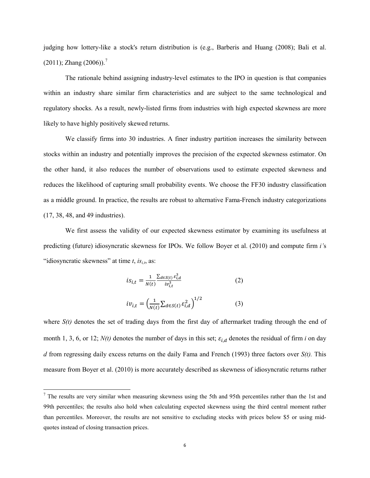judging how lottery-like a stock's return distribution is (e.g., Barberis and Huang (2008); Bali et al.  $(2011)$ ; Zhang  $(2006)$ ).<sup>7</sup>

The rationale behind assigning industry-level estimates to the IPO in question is that companies within an industry share similar firm characteristics and are subject to the same technological and regulatory shocks. As a result, newly-listed firms from industries with high expected skewness are more likely to have highly positively skewed returns.

We classify firms into 30 industries. A finer industry partition increases the similarity between stocks within an industry and potentially improves the precision of the expected skewness estimator. On the other hand, it also reduces the number of observations used to estimate expected skewness and reduces the likelihood of capturing small probability events. We choose the FF30 industry classification as a middle ground. In practice, the results are robust to alternative Fama-French industry categorizations (17, 38, 48, and 49 industries).

We first assess the validity of our expected skewness estimator by examining its usefulness at predicting (future) idiosyncratic skewness for IPOs. We follow Boyer et al. (2010) and compute firm *i'*s "idiosyncratic skewness" at time  $t$ ,  $is_{i,t}$ , as:

$$
is_{i,t} = \frac{1}{N(t)} \frac{\sum_{d \in S(t)} \varepsilon_{i,d}^3}{iv_{i,t}^3}
$$
 (2)  

$$
iv_{i,t} = \left(\frac{1}{N(t)} \sum_{d \in S(t)} \varepsilon_{i,d}^2\right)^{1/2}
$$
 (3)

where  $S(t)$  denotes the set of trading days from the first day of aftermarket trading through the end of month 1, 3, 6, or 12;  $N(t)$  denotes the number of days in this set;  $\varepsilon_{i,d}$  denotes the residual of firm *i* on day *d* from regressing daily excess returns on the daily Fama and French (1993) three factors over *S(t).* This measure from Boyer et al. (2010) is more accurately described as skewness of idiosyncratic returns rather

 $<sup>7</sup>$  The results are very similar when measuring skewness using the 5th and 95th percentiles rather than the 1st and</sup> 99th percentiles; the results also hold when calculating expected skewness using the third central moment rather than percentiles. Moreover, the results are not sensitive to excluding stocks with prices below \$5 or using midquotes instead of closing transaction prices.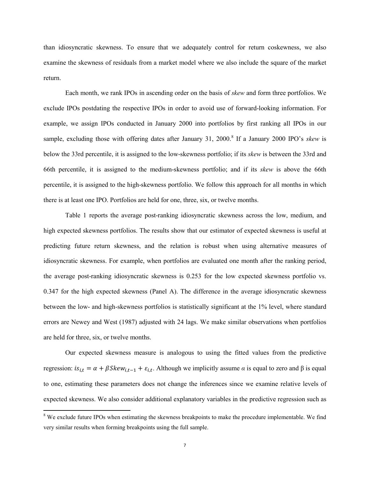than idiosyncratic skewness. To ensure that we adequately control for return coskewness, we also examine the skewness of residuals from a market model where we also include the square of the market return.

Each month, we rank IPOs in ascending order on the basis of *skew* and form three portfolios. We exclude IPOs postdating the respective IPOs in order to avoid use of forward-looking information. For example, we assign IPOs conducted in January 2000 into portfolios by first ranking all IPOs in our sample, excluding those with offering dates after January 31, 2000.<sup>8</sup> If a January 2000 IPO's skew is below the 33rd percentile, it is assigned to the low-skewness portfolio; if its *skew* is between the 33rd and 66th percentile, it is assigned to the medium-skewness portfolio; and if its *skew* is above the 66th percentile, it is assigned to the high-skewness portfolio. We follow this approach for all months in which there is at least one IPO. Portfolios are held for one, three, six, or twelve months.

Table 1 reports the average post-ranking idiosyncratic skewness across the low, medium, and high expected skewness portfolios. The results show that our estimator of expected skewness is useful at predicting future return skewness, and the relation is robust when using alternative measures of idiosyncratic skewness. For example, when portfolios are evaluated one month after the ranking period, the average post-ranking idiosyncratic skewness is 0.253 for the low expected skewness portfolio vs. 0.347 for the high expected skewness (Panel A). The difference in the average idiosyncratic skewness between the low- and high-skewness portfolios is statistically significant at the 1% level, where standard errors are Newey and West (1987) adjusted with 24 lags. We make similar observations when portfolios are held for three, six, or twelve months.

Our expected skewness measure is analogous to using the fitted values from the predictive regression:  $is_{i,t} = \alpha + \beta Skew_{i,t-1} + \varepsilon_{i,t}$ . Although we implicitly assume *α* is equal to zero and β is equal to one, estimating these parameters does not change the inferences since we examine relative levels of expected skewness. We also consider additional explanatory variables in the predictive regression such as

<sup>&</sup>lt;sup>8</sup> We exclude future IPOs when estimating the skewness breakpoints to make the procedure implementable. We find very similar results when forming breakpoints using the full sample.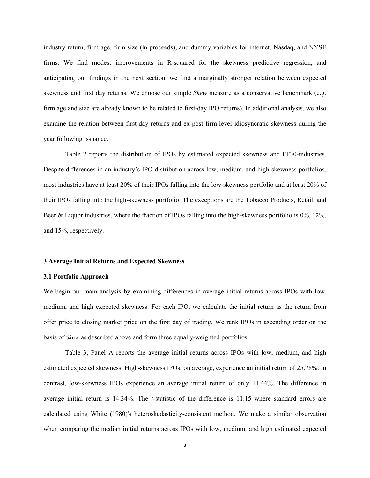industry return, firm age, firm size (ln proceeds), and dummy variables for internet, Nasdaq, and NYSE firms. We find modest improvements in R-squared for the skewness predictive regression, and anticipating our findings in the next section, we find a marginally stronger relation between expected skewness and first day returns. We choose our simple *Skew* measure as a conservative benchmark (e.g. firm age and size are already known to be related to first-day IPO returns). In additional analysis, we also examine the relation between first-day returns and ex post firm-level idiosyncratic skewness during the year following issuance.

Table 2 reports the distribution of IPOs by estimated expected skewness and FF30-industries. Despite differences in an industry's IPO distribution across low, medium, and high-skewness portfolios, most industries have at least 20% of their IPOs falling into the low-skewness portfolio and at least 20% of their IPOs falling into the high-skewness portfolio. The exceptions are the Tobacco Products, Retail, and Beer & Liquor industries, where the fraction of IPOs falling into the high-skewness portfolio is 0%, 12%, and 15%, respectively.

#### **3 Average Initial Returns and Expected Skewness**

### **3.1 Portfolio Approach**

We begin our main analysis by examining differences in average initial returns across IPOs with low, medium, and high expected skewness. For each IPO, we calculate the initial return as the return from offer price to closing market price on the first day of trading. We rank IPOs in ascending order on the basis of *Skew* as described above and form three equally-weighted portfolios.

Table 3, Panel A reports the average initial returns across IPOs with low, medium, and high estimated expected skewness. High-skewness IPOs, on average, experience an initial return of 25.78%. In contrast, low-skewness IPOs experience an average initial return of only 11.44%. The difference in average initial return is 14.34%. The *t-*statistic of the difference is 11.15 where standard errors are calculated using White (1980)'s heteroskedasticity-consistent method. We make a similar observation when comparing the median initial returns across IPOs with low, medium, and high estimated expected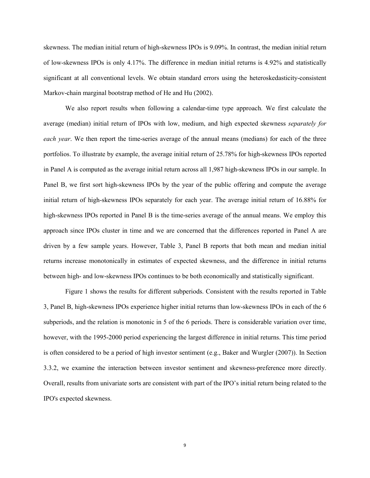skewness. The median initial return of high-skewness IPOs is 9.09%. In contrast, the median initial return of low-skewness IPOs is only 4.17%. The difference in median initial returns is 4.92% and statistically significant at all conventional levels. We obtain standard errors using the heteroskedasticity-consistent Markov-chain marginal bootstrap method of He and Hu (2002).

We also report results when following a calendar-time type approach. We first calculate the average (median) initial return of IPOs with low, medium, and high expected skewness *separately for each year*. We then report the time-series average of the annual means (medians) for each of the three portfolios. To illustrate by example, the average initial return of 25.78% for high-skewness IPOs reported in Panel A is computed as the average initial return across all 1,987 high-skewness IPOs in our sample. In Panel B, we first sort high-skewness IPOs by the year of the public offering and compute the average initial return of high-skewness IPOs separately for each year. The average initial return of 16.88% for high-skewness IPOs reported in Panel B is the time-series average of the annual means. We employ this approach since IPOs cluster in time and we are concerned that the differences reported in Panel A are driven by a few sample years. However, Table 3, Panel B reports that both mean and median initial returns increase monotonically in estimates of expected skewness, and the difference in initial returns between high- and low-skewness IPOs continues to be both economically and statistically significant.

Figure 1 shows the results for different subperiods. Consistent with the results reported in Table 3, Panel B, high-skewness IPOs experience higher initial returns than low-skewness IPOs in each of the 6 subperiods, and the relation is monotonic in 5 of the 6 periods. There is considerable variation over time, however, with the 1995-2000 period experiencing the largest difference in initial returns. This time period is often considered to be a period of high investor sentiment (e.g., Baker and Wurgler (2007)). In Section 3.3.2, we examine the interaction between investor sentiment and skewness-preference more directly. Overall, results from univariate sorts are consistent with part of the IPO's initial return being related to the IPO's expected skewness.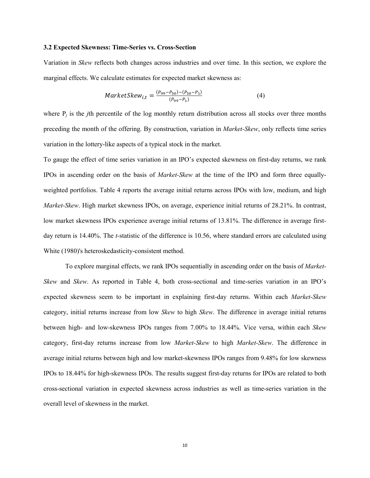### **3.2 Expected Skewness: Time-Series vs. Cross-Section**

Variation in *Skew* reflects both changes across industries and over time. In this section, we explore the marginal effects. We calculate estimates for expected market skewness as:

$$
MarketSkew_{i,t} = \frac{(P_{99} - P_{50}) - (P_{50} - P_1)}{(P_{99} - P_1)}
$$
(4)

where  $P_i$  is the *j*th percentile of the log monthly return distribution across all stocks over three months preceding the month of the offering. By construction, variation in *Market-Skew*, only reflects time series variation in the lottery-like aspects of a typical stock in the market.

To gauge the effect of time series variation in an IPO's expected skewness on first-day returns, we rank IPOs in ascending order on the basis of *Market-Skew* at the time of the IPO and form three equallyweighted portfolios. Table 4 reports the average initial returns across IPOs with low, medium, and high *Market-Skew*. High market skewness IPOs, on average, experience initial returns of 28.21%. In contrast, low market skewness IPOs experience average initial returns of 13.81%. The difference in average firstday return is 14.40%. The *t-*statistic of the difference is 10.56, where standard errors are calculated using White (1980)'s heteroskedasticity-consistent method.

To explore marginal effects, we rank IPOs sequentially in ascending order on the basis of *Market-Skew* and *Skew*. As reported in Table 4, both cross-sectional and time-series variation in an IPO's expected skewness seem to be important in explaining first-day returns. Within each *Market-Skew* category, initial returns increase from low *Skew* to high *Skew*. The difference in average initial returns between high- and low-skewness IPOs ranges from 7.00% to 18.44%. Vice versa, within each *Skew* category, first-day returns increase from low *Market-Skew* to high *Market-Skew*. The difference in average initial returns between high and low market-skewness IPOs ranges from 9.48% for low skewness IPOs to 18.44% for high-skewness IPOs. The results suggest first-day returns for IPOs are related to both cross-sectional variation in expected skewness across industries as well as time-series variation in the overall level of skewness in the market.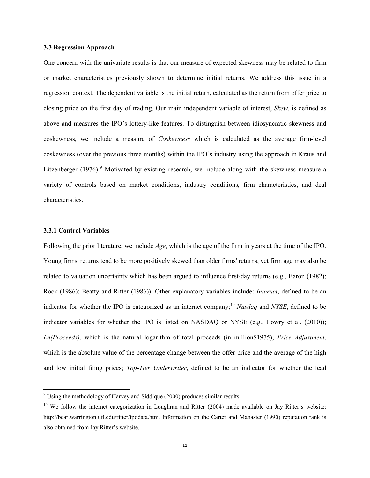## **3.3 Regression Approach**

One concern with the univariate results is that our measure of expected skewness may be related to firm or market characteristics previously shown to determine initial returns. We address this issue in a regression context. The dependent variable is the initial return, calculated as the return from offer price to closing price on the first day of trading. Our main independent variable of interest, *Skew*, is defined as above and measures the IPO's lottery-like features. To distinguish between idiosyncratic skewness and coskewness, we include a measure of *Coskewness* which is calculated as the average firm-level coskewness (over the previous three months) within the IPO's industry using the approach in Kraus and Litzenberger  $(1976)$ .<sup>9</sup> Motivated by existing research, we include along with the skewness measure a variety of controls based on market conditions, industry conditions, firm characteristics, and deal characteristics.

# **3.3.1 Control Variables**

 $\overline{\phantom{0}}$ 

Following the prior literature, we include *Age*, which is the age of the firm in years at the time of the IPO. Young firms' returns tend to be more positively skewed than older firms' returns, yet firm age may also be related to valuation uncertainty which has been argued to influence first-day returns (e.g., Baron (1982); Rock (1986); Beatty and Ritter (1986)). Other explanatory variables include: *Internet*, defined to be an indicator for whether the IPO is categorized as an internet company;<sup>10</sup> Nasdaq and NYSE, defined to be indicator variables for whether the IPO is listed on NASDAQ or NYSE (e.g., Lowry et al. (2010)); *Ln(Proceeds),* which is the natural logarithm of total proceeds (in million\$1975); *Price Adjustment*, which is the absolute value of the percentage change between the offer price and the average of the high and low initial filing prices; *Top-Tier Underwriter*, defined to be an indicator for whether the lead

<sup>&</sup>lt;sup>9</sup> Using the methodology of Harvey and Siddique (2000) produces similar results.

<sup>&</sup>lt;sup>10</sup> We follow the internet categorization in Loughran and Ritter (2004) made available on Jay Ritter's website: http://bear.warrington.ufl.edu/ritter/ipodata.htm. Information on the Carter and Manaster (1990) reputation rank is also obtained from Jay Ritter's website.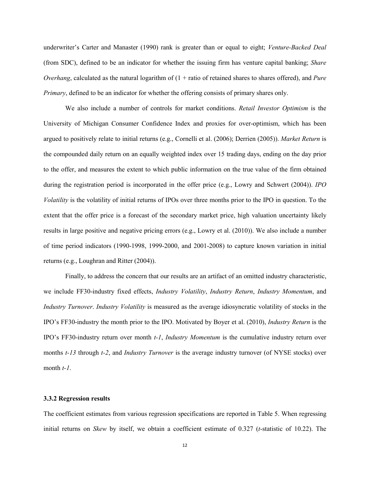underwriter's Carter and Manaster (1990) rank is greater than or equal to eight; *Venture-Backed Deal* (from SDC), defined to be an indicator for whether the issuing firm has venture capital banking; *Share Overhang*, calculated as the natural logarithm of (1 + ratio of retained shares to shares offered), and *Pure Primary*, defined to be an indicator for whether the offering consists of primary shares only.

We also include a number of controls for market conditions. *Retail Investor Optimism* is the University of Michigan Consumer Confidence Index and proxies for over-optimism, which has been argued to positively relate to initial returns (e.g., Cornelli et al. (2006); Derrien (2005)). *Market Return* is the compounded daily return on an equally weighted index over 15 trading days, ending on the day prior to the offer, and measures the extent to which public information on the true value of the firm obtained during the registration period is incorporated in the offer price (e.g., Lowry and Schwert (2004)). *IPO Volatility* is the volatility of initial returns of IPOs over three months prior to the IPO in question. To the extent that the offer price is a forecast of the secondary market price, high valuation uncertainty likely results in large positive and negative pricing errors (e.g., Lowry et al. (2010)). We also include a number of time period indicators (1990-1998, 1999-2000, and 2001-2008) to capture known variation in initial returns (e.g., Loughran and Ritter (2004)).

Finally, to address the concern that our results are an artifact of an omitted industry characteristic, we include FF30-industry fixed effects, *Industry Volatility*, *Industry Return*, *Industry Momentum*, and *Industry Turnover*. *Industry Volatility* is measured as the average idiosyncratic volatility of stocks in the IPO's FF30-industry the month prior to the IPO. Motivated by Boyer et al. (2010), *Industry Return* is the IPO's FF30-industry return over month *t-1*, *Industry Momentum* is the cumulative industry return over months *t-13* through *t-2*, and *Industry Turnover* is the average industry turnover (of NYSE stocks) over month *t-1*.

### **3.3.2 Regression results**

The coefficient estimates from various regression specifications are reported in Table 5. When regressing initial returns on *Skew* by itself, we obtain a coefficient estimate of 0.327 (*t*-statistic of 10.22). The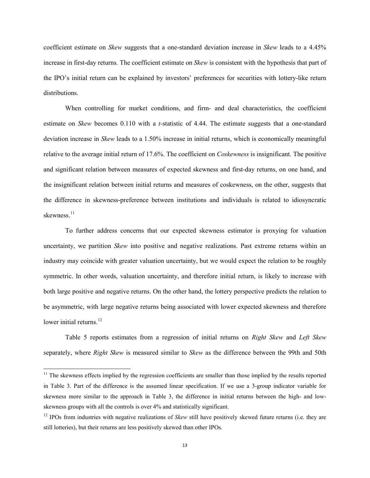coefficient estimate on *Skew* suggests that a one-standard deviation increase in *Skew* leads to a 4.45% increase in first-day returns. The coefficient estimate on *Skew* is consistent with the hypothesis that part of the IPO's initial return can be explained by investors' preferences for securities with lottery-like return distributions.

When controlling for market conditions, and firm- and deal characteristics, the coefficient estimate on *Skew* becomes 0.110 with a *t-*statistic of 4.44. The estimate suggests that a one-standard deviation increase in *Skew* leads to a 1.50% increase in initial returns, which is economically meaningful relative to the average initial return of 17.6%. The coefficient on *Coskewness* is insignificant. The positive and significant relation between measures of expected skewness and first-day returns, on one hand, and the insignificant relation between initial returns and measures of coskewness, on the other, suggests that the difference in skewness-preference between institutions and individuals is related to idiosyncratic skewness<sup>11</sup>

To further address concerns that our expected skewness estimator is proxying for valuation uncertainty, we partition *Skew* into positive and negative realizations. Past extreme returns within an industry may coincide with greater valuation uncertainty, but we would expect the relation to be roughly symmetric. In other words, valuation uncertainty, and therefore initial return, is likely to increase with both large positive and negative returns. On the other hand, the lottery perspective predicts the relation to be asymmetric, with large negative returns being associated with lower expected skewness and therefore lower initial returns. $12$ 

Table 5 reports estimates from a regression of initial returns on *Right Skew* and *Left Skew* separately, where *Right Skew* is measured similar to *Skew* as the difference between the 99th and 50th

<sup>&</sup>lt;sup>11</sup> The skewness effects implied by the regression coefficients are smaller than those implied by the results reported in Table 3. Part of the difference is the assumed linear specification. If we use a 3-group indicator variable for skewness more similar to the approach in Table 3, the difference in initial returns between the high- and lowskewness groups with all the controls is over 4% and statistically significant.

<sup>&</sup>lt;sup>12</sup> IPOs from industries with negative realizations of *Skew* still have positively skewed future returns (i.e. they are still lotteries), but their returns are less positively skewed than other IPOs.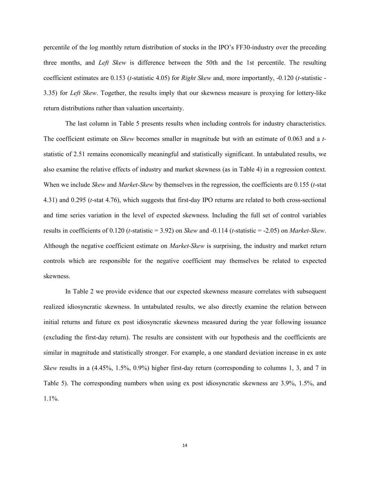percentile of the log monthly return distribution of stocks in the IPO's FF30-industry over the preceding three months, and *Left Skew* is difference between the 50th and the 1st percentile. The resulting coefficient estimates are 0.153 (*t*-statistic 4.05) for *Right Skew* and, more importantly, -0.120 (*t*-statistic - 3.35) for *Left Skew*. Together, the results imply that our skewness measure is proxying for lottery-like return distributions rather than valuation uncertainty.

The last column in Table 5 presents results when including controls for industry characteristics. The coefficient estimate on *Skew* becomes smaller in magnitude but with an estimate of 0.063 and a *t*statistic of 2.51 remains economically meaningful and statistically significant. In untabulated results, we also examine the relative effects of industry and market skewness (as in Table 4) in a regression context. When we include *Skew* and *Market-Skew* by themselves in the regression, the coefficients are 0.155 (*t*-stat 4.31) and 0.295 (*t*-stat 4.76), which suggests that first-day IPO returns are related to both cross-sectional and time series variation in the level of expected skewness. Including the full set of control variables results in coefficients of 0.120 (*t*-statistic = 3.92) on *Skew* and -0.114 (*t*-statistic = -2.05) on *Market-Skew*. Although the negative coefficient estimate on *Market-Skew* is surprising, the industry and market return controls which are responsible for the negative coefficient may themselves be related to expected skewness.

In Table 2 we provide evidence that our expected skewness measure correlates with subsequent realized idiosyncratic skewness. In untabulated results, we also directly examine the relation between initial returns and future ex post idiosyncratic skewness measured during the year following issuance (excluding the first-day return). The results are consistent with our hypothesis and the coefficients are similar in magnitude and statistically stronger. For example, a one standard deviation increase in ex ante *Skew* results in a (4.45%, 1.5%, 0.9%) higher first-day return (corresponding to columns 1, 3, and 7 in Table 5). The corresponding numbers when using ex post idiosyncratic skewness are 3.9%, 1.5%, and 1.1%.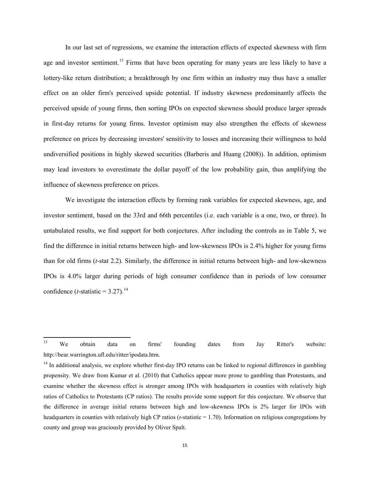In our last set of regressions, we examine the interaction effects of expected skewness with firm age and investor sentiment.<sup>13</sup> Firms that have been operating for many years are less likely to have a lottery-like return distribution; a breakthrough by one firm within an industry may thus have a smaller effect on an older firm's perceived upside potential. If industry skewness predominantly affects the perceived upside of young firms, then sorting IPOs on expected skewness should produce larger spreads in first-day returns for young firms. Investor optimism may also strengthen the effects of skewness preference on prices by decreasing investors' sensitivity to losses and increasing their willingness to hold undiversified positions in highly skewed securities (Barberis and Huang (2008)). In addition, optimism may lead investors to overestimate the dollar payoff of the low probability gain, thus amplifying the influence of skewness preference on prices.

We investigate the interaction effects by forming rank variables for expected skewness, age, and investor sentiment, based on the 33rd and 66th percentiles (i.e. each variable is a one, two, or three). In untabulated results, we find support for both conjectures. After including the controls as in Table 5, we find the difference in initial returns between high- and low-skewness IPOs is 2.4% higher for young firms than for old firms (*t*-stat 2.2). Similarly, the difference in initial returns between high- and low-skewness IPOs is 4.0% larger during periods of high consumer confidence than in periods of low consumer confidence (*t*-statistic = 3.27).<sup>14</sup>

<sup>13</sup> <sup>13</sup> We obtain data on firms' founding dates from Jay Ritter's website: http://bear.warrington.ufl.edu/ritter/ipodata.htm.

 $14$  In additional analysis, we explore whether first-day IPO returns can be linked to regional differences in gambling propensity. We draw from Kumar et al. (2010) that Catholics appear more prone to gambling than Protestants, and examine whether the skewness effect is stronger among IPOs with headquarters in counties with relatively high ratios of Catholics to Protestants (CP ratios). The results provide some support for this conjecture. We observe that the difference in average initial returns between high and low-skewness IPOs is 2% larger for IPOs with headquarters in counties with relatively high CP ratios (*t*-statistic = 1.70). Information on religious congregations by county and group was graciously provided by Oliver Spalt.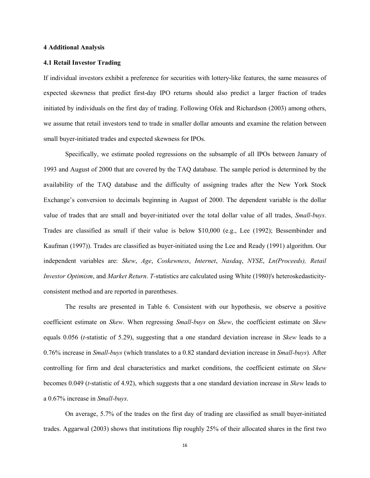#### **4 Additional Analysis**

### **4.1 Retail Investor Trading**

If individual investors exhibit a preference for securities with lottery-like features, the same measures of expected skewness that predict first-day IPO returns should also predict a larger fraction of trades initiated by individuals on the first day of trading. Following Ofek and Richardson (2003) among others, we assume that retail investors tend to trade in smaller dollar amounts and examine the relation between small buyer-initiated trades and expected skewness for IPOs.

Specifically, we estimate pooled regressions on the subsample of all IPOs between January of 1993 and August of 2000 that are covered by the TAQ database. The sample period is determined by the availability of the TAQ database and the difficulty of assigning trades after the New York Stock Exchange's conversion to decimals beginning in August of 2000. The dependent variable is the dollar value of trades that are small and buyer-initiated over the total dollar value of all trades, *Small-buys*. Trades are classified as small if their value is below \$10,000 (e.g., Lee (1992); Bessembinder and Kaufman (1997)). Trades are classified as buyer-initiated using the Lee and Ready (1991) algorithm. Our independent variables are: *Skew*, *Age*, *Coskewness*, *Internet*, *Nasdaq*, *NYSE*, *Ln(Proceeds), Retail Investor Optimism*, and *Market Return*. *T-*statistics are calculated using White (1980)'s heteroskedasticityconsistent method and are reported in parentheses.

The results are presented in Table 6. Consistent with our hypothesis, we observe a positive coefficient estimate on *Skew*. When regressing *Small-buys* on *Skew*, the coefficient estimate on *Skew* equals 0.056 (*t*-statistic of 5.29), suggesting that a one standard deviation increase in *Skew* leads to a 0.76% increase in *Small-buys* (which translates to a 0.82 standard deviation increase in *Small-buys*). After controlling for firm and deal characteristics and market conditions, the coefficient estimate on *Skew* becomes 0.049 (*t*-statistic of 4.92), which suggests that a one standard deviation increase in *Skew* leads to a 0.67% increase in *Small-buys*.

On average, 5.7% of the trades on the first day of trading are classified as small buyer-initiated trades. Aggarwal (2003) shows that institutions flip roughly 25% of their allocated shares in the first two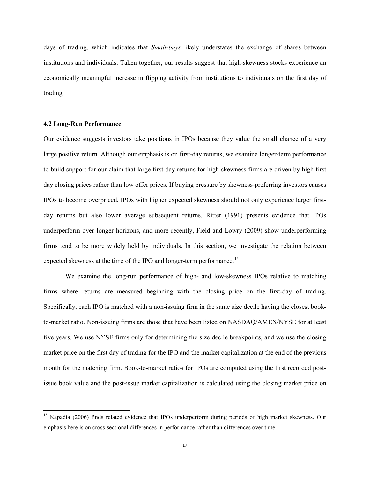days of trading, which indicates that *Small-buys* likely understates the exchange of shares between institutions and individuals. Taken together, our results suggest that high-skewness stocks experience an economically meaningful increase in flipping activity from institutions to individuals on the first day of trading.

#### **4.2 Long-Run Performance**

 $\overline{\phantom{0}}$ 

Our evidence suggests investors take positions in IPOs because they value the small chance of a very large positive return. Although our emphasis is on first-day returns, we examine longer-term performance to build support for our claim that large first-day returns for high-skewness firms are driven by high first day closing prices rather than low offer prices. If buying pressure by skewness-preferring investors causes IPOs to become overpriced, IPOs with higher expected skewness should not only experience larger firstday returns but also lower average subsequent returns. Ritter (1991) presents evidence that IPOs underperform over longer horizons, and more recently, Field and Lowry (2009) show underperforming firms tend to be more widely held by individuals. In this section, we investigate the relation between expected skewness at the time of the IPO and longer-term performance.<sup>15</sup>

We examine the long-run performance of high- and low-skewness IPOs relative to matching firms where returns are measured beginning with the closing price on the first-day of trading. Specifically, each IPO is matched with a non-issuing firm in the same size decile having the closest bookto-market ratio. Non-issuing firms are those that have been listed on NASDAQ/AMEX/NYSE for at least five years. We use NYSE firms only for determining the size decile breakpoints, and we use the closing market price on the first day of trading for the IPO and the market capitalization at the end of the previous month for the matching firm. Book-to-market ratios for IPOs are computed using the first recorded postissue book value and the post-issue market capitalization is calculated using the closing market price on

<sup>&</sup>lt;sup>15</sup> Kapadia (2006) finds related evidence that IPOs underperform during periods of high market skewness. Our emphasis here is on cross-sectional differences in performance rather than differences over time.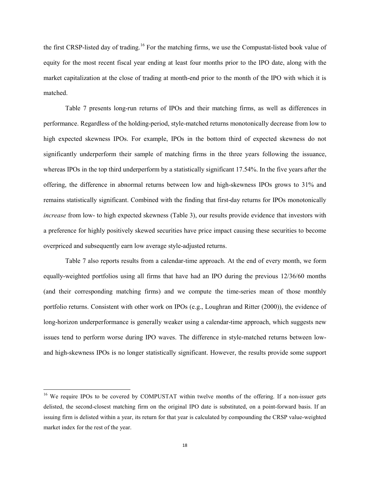the first CRSP-listed day of trading.<sup>16</sup> For the matching firms, we use the Compustat-listed book value of equity for the most recent fiscal year ending at least four months prior to the IPO date, along with the market capitalization at the close of trading at month-end prior to the month of the IPO with which it is matched.

Table 7 presents long-run returns of IPOs and their matching firms, as well as differences in performance. Regardless of the holding-period, style-matched returns monotonically decrease from low to high expected skewness IPOs. For example, IPOs in the bottom third of expected skewness do not significantly underperform their sample of matching firms in the three years following the issuance, whereas IPOs in the top third underperform by a statistically significant 17.54%. In the five years after the offering, the difference in abnormal returns between low and high-skewness IPOs grows to 31% and remains statistically significant. Combined with the finding that first-day returns for IPOs monotonically *increase* from low- to high expected skewness (Table 3), our results provide evidence that investors with a preference for highly positively skewed securities have price impact causing these securities to become overpriced and subsequently earn low average style-adjusted returns.

Table 7 also reports results from a calendar-time approach. At the end of every month, we form equally-weighted portfolios using all firms that have had an IPO during the previous 12/36/60 months (and their corresponding matching firms) and we compute the time-series mean of those monthly portfolio returns. Consistent with other work on IPOs (e.g., Loughran and Ritter (2000)), the evidence of long-horizon underperformance is generally weaker using a calendar-time approach, which suggests new issues tend to perform worse during IPO waves. The difference in style-matched returns between lowand high-skewness IPOs is no longer statistically significant. However, the results provide some support

<sup>&</sup>lt;sup>16</sup> We require IPOs to be covered by COMPUSTAT within twelve months of the offering. If a non-issuer gets delisted, the second-closest matching firm on the original IPO date is substituted, on a point-forward basis. If an issuing firm is delisted within a year, its return for that year is calculated by compounding the CRSP value-weighted market index for the rest of the year.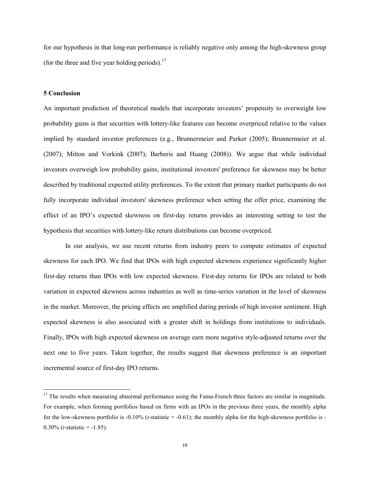for our hypothesis in that long-run performance is reliably negative only among the high-skewness group (for the three and five year holding periods). $^{17}$ 

# **5 Conclusion**

 $\overline{\phantom{0}}$ 

An important prediction of theoretical models that incorporate investors' propensity to overweight low probability gains is that securities with lottery-like features can become overpriced relative to the values implied by standard investor preferences (e.g., Brunnermeier and Parker (2005); Brunnermeier et al. (2007); Mitton and Vorkink (2007); Barberis and Huang (2008)). We argue that while individual investors overweigh low probability gains, institutional investors' preference for skewness may be better described by traditional expected utility preferences. To the extent that primary market participants do not fully incorporate individual investors' skewness preference when setting the offer price, examining the effect of an IPO's expected skewness on first-day returns provides an interesting setting to test the hypothesis that securities with lottery-like return distributions can become overpriced.

In our analysis, we use recent returns from industry peers to compute estimates of expected skewness for each IPO. We find that IPOs with high expected skewness experience significantly higher first-day returns than IPOs with low expected skewness. First-day returns for IPOs are related to both variation in expected skewness across industries as well as time-series variation in the level of skewness in the market. Moreover, the pricing effects are amplified during periods of high investor sentiment. High expected skewness is also associated with a greater shift in holdings from institutions to individuals. Finally, IPOs with high expected skewness on average earn more negative style-adjusted returns over the next one to five years. Taken together, the results suggest that skewness preference is an important incremental source of first-day IPO returns.

<sup>&</sup>lt;sup>17</sup> The results when measuring abnormal performance using the Fama-French three factors are similar in magnitude. For example, when forming portfolios based on firms with an IPOs in the previous three years, the monthly alpha for the low-skewness portfolio is -0.10% (*t*-statistic = -0.61); the monthly alpha for the high-skewness portfolio is - 0.30% (*t*-statistic =  $-1.85$ ).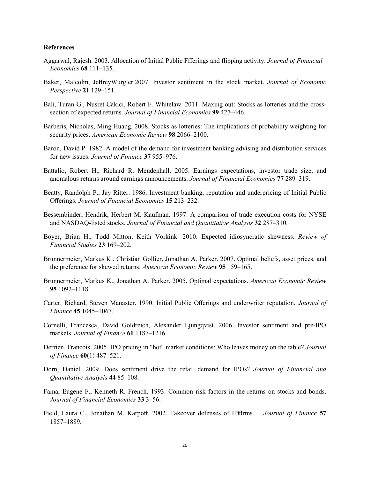#### **References**

- Aggarwal, Rajesh. 2003. Allocation of Initial Public Ffferings and flipping activity. *Journal of Financial Economics* **68** 111–135.
- Baker, Malcolm, JeffreyWurgler.2007. Investor sentiment in the stock market. *Journal of Economic Perspective* **21** 129–151.
- Bali, Turan G., Nusret Cakici, Robert F. Whitelaw. 2011. Maxing out: Stocks as lotteries and the crosssection of expected returns. *Journal of Financial Economics* **99** 427–446.
- Barberis, Nicholas, Ming Huang. 2008. Stocks as lotteries: The implications of probability weighting for security prices. *American Economic Review* **98** 2066–2100.
- Baron, David P. 1982. A model of the demand for investment banking advising and distribution services for new issues. *Journal of Finance* **37** 955–976.
- Battalio, Robert H., Richard R. Mendenhall. 2005. Earnings expectations, investor trade size, and anomalous returns around earnings announcements. *Journal of Financial Economics* **77** 289–319.
- Beatty, Randolph P., Jay Ritter. 1986. Investment banking, reputation and underpricing of Initial Public Offerings. *Journal of Financial Economics* **15** 213–232.
- Bessembinder, Hendrik, Herbert M. Kaufman. 1997. A comparison of trade execution costs for NYSE and NASDAQ-listed stocks. *Journal of Financial and Quantitative Analysis* **32** 287–310.
- Boyer, Brian H., Todd Mitton, Keith Vorkink. 2010. Expected idiosyncratic skewness. *Review of Financial Studies* **23** 169–202.
- Brunnermeier, Markus K., Christian Gollier, Jonathan A. Parker. 2007. Optimal beliefs, asset prices, and the preference for skewed returns. *American Economic Review* **95** 159–165.
- Brunnermeier, Markus K., Jonathan A. Parker. 2005. Optimal expectations. *American Economic Review*  **95** 1092–1118.
- Carter, Richard, Steven Manaster. 1990. Initial Public Offerings and underwriter reputation. *Journal of Finance* **45** 1045–1067.
- Cornelli, Francesca, David Goldreich, Alexander Ljungqvist. 2006. Investor sentiment and pre-IPO markets. *Journal of Finance* **61** 1187–1216.
- Derrien, Francois. 2005. IPO pricing in "hot" market conditions: Who leaves money on the table? *Journal of Finance* **60**(1) 487–521.
- Dorn, Daniel. 2009. Does sentiment drive the retail demand for IPOs? *Journal of Financial and Quantitative Analysis* **44** 85–108.
- Fama, Eugene F., Kenneth R. French. 1993. Common risk factors in the returns on stocks and bonds. *Journal of Financial Economics* **33** 3–56.
- Field, Laura C., Jonathan M. Karpoff. 2002. Takeover defenses of IPOrms. *Journal of Finance* 57 1857–1889.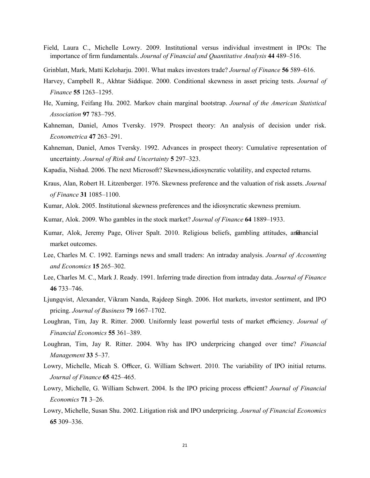- Field, Laura C., Michelle Lowry. 2009. Institutional versus individual investment in IPOs: The importance of firm fundamentals. *Journal of Financial and Quantitative Analysis* **44** 489–516.
- Grinblatt, Mark, Matti Keloharju. 2001. What makes investors trade? *Journal of Finance* **56** 589–616.
- Harvey, Campbell R., Akhtar Siddique. 2000. Conditional skewness in asset pricing tests. *Journal of Finance* **55** 1263–1295.
- He, Xuming, Feifang Hu. 2002. Markov chain marginal bootstrap. *Journal of the American Statistical Association* **97** 783–795.
- Kahneman, Daniel, Amos Tversky. 1979. Prospect theory: An analysis of decision under risk. *Econometrica* **47** 263–291.
- Kahneman, Daniel, Amos Tversky. 1992. Advances in prospect theory: Cumulative representation of uncertainty. *Journal of Risk and Uncertainty* **5** 297–323.
- Kapadia, Nishad. 2006. The next Microsoft? Skewness,idiosyncratic volatility, and expected returns.
- Kraus, Alan, Robert H. Litzenberger. 1976. Skewness preference and the valuation of risk assets. *Journal of Finance* **31** 1085–1100.
- Kumar, Alok. 2005. Institutional skewness preferences and the idiosyncratic skewness premium.
- Kumar, Alok. 2009. Who gambles in the stock market? *Journal of Finance* **64** 1889–1933.
- Kumar, Alok, Jeremy Page, Oliver Spalt. 2010. Religious beliefs, gambling attitudes, and hancial market outcomes.
- Lee, Charles M. C. 1992. Earnings news and small traders: An intraday analysis. *Journal of Accounting and Economics* **15** 265–302.
- Lee, Charles M. C., Mark J. Ready. 1991. Inferring trade direction from intraday data. *Journal of Finance*  **46** 733–746.
- Ljungqvist, Alexander, Vikram Nanda, Rajdeep Singh. 2006. Hot markets, investor sentiment, and IPO pricing. *Journal of Business* **79** 1667–1702.
- Loughran, Tim, Jay R. Ritter. 2000. Uniformly least powerful tests of market efficiency. *Journal of Financial Economics* **55** 361–389.
- Loughran, Tim, Jay R. Ritter. 2004. Why has IPO underpricing changed over time? *Financial Management* **33** 5–37.
- Lowry, Michelle, Micah S. Officer, G. William Schwert. 2010. The variability of IPO initial returns. *Journal of Finance* **65** 425–465.
- Lowry, Michelle, G. William Schwert. 2004. Is the IPO pricing process efficient? *Journal of Financial Economics* **71** 3–26.
- Lowry, Michelle, Susan Shu. 2002. Litigation risk and IPO underpricing. *Journal of Financial Economics*  **65** 309–336.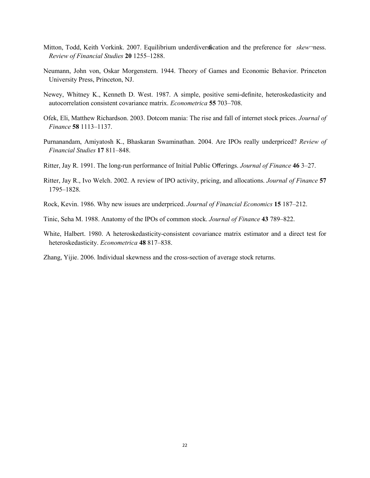- Mitton, Todd, Keith Vorkink. 2007. Equilibrium underdiversification and the preference for *skew*¬ness. *Review of Financial Studies* **20** 1255–1288.
- Neumann, John von, Oskar Morgenstern. 1944. Theory of Games and Economic Behavior. Princeton University Press, Princeton, NJ.
- Newey, Whitney K., Kenneth D. West. 1987. A simple, positive semi-definite, heteroskedasticity and autocorrelation consistent covariance matrix. *Econometrica* **55** 703–708.
- Ofek, Eli, Matthew Richardson. 2003. Dotcom mania: The rise and fall of internet stock prices. *Journal of Finance* **58** 1113–1137.
- Purnanandam, Amiyatosh K., Bhaskaran Swaminathan. 2004. Are IPOs really underpriced? *Review of Financial Studies* **17** 811–848.
- Ritter, Jay R. 1991. The long-run performance of Initial Public Offerings. *Journal of Finance* **46** 3–27.
- Ritter, Jay R., Ivo Welch. 2002. A review of IPO activity, pricing, and allocations. *Journal of Finance* **57** 1795–1828.
- Rock, Kevin. 1986. Why new issues are underpriced. *Journal of Financial Economics* **15** 187–212.
- Tinic, Seha M. 1988. Anatomy of the IPOs of common stock. *Journal of Finance* **43** 789–822.
- White, Halbert. 1980. A heteroskedasticity-consistent covariance matrix estimator and a direct test for heteroskedasticity. *Econometrica* **48** 817–838.
- Zhang, Yijie. 2006. Individual skewness and the cross-section of average stock returns.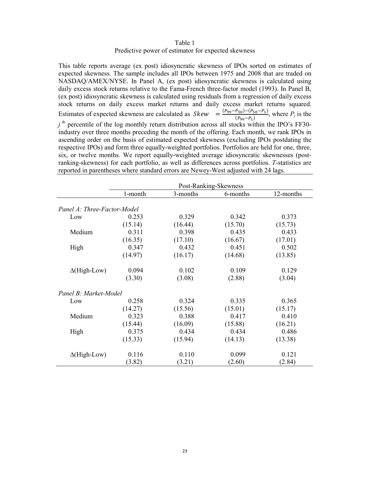## Table 1 Predictive power of estimator for expected skewness

This table reports average (ex post) idiosyncratic skewness of IPOs sorted on estimates of expected skewness. The sample includes all IPOs between 1975 and 2008 that are traded on NASDAQ/AMEX/NYSE. In Panel A, (ex post) idiosyncratic skewness is calculated using daily excess stock returns relative to the Fama-French three-factor model (1993). In Panel B, (ex post) idiosyncratic skewness is calculated using residuals from a regression of daily excess stock returns on daily excess market returns and daily excess market returns squared. Estimates of expected skewness are calculated as  $Skew = \frac{(P_{99} - P_{50}) - (P_{50} - P_1)}{(P_{99} - P_1)}$ , where  $P_j$  is the  $j$ <sup>th</sup> percentile of the log monthly return distribution across all stocks within the IPO's FF30industry over three months preceding the month of the offering. Each month, we rank IPOs in ascending order on the basis of estimated expected skewness (excluding IPOs postdating the respective IPOs) and form three equally-weighted portfolios. Portfolios are held for one, three, six, or twelve months. We report equally-weighted average idiosyncratic skewnesses (postranking-skewness) for each portfolio, as well as differences across portfolios. *T*-statistics are reported in parentheses where standard errors are Newey-West adjusted with 24 lags.

|                             | Post-Ranking-Skewness |          |          |           |  |  |
|-----------------------------|-----------------------|----------|----------|-----------|--|--|
|                             | 1-month               | 3-months | 6-months | 12-months |  |  |
| Panel A: Three-Factor-Model |                       |          |          |           |  |  |
| Low                         | 0.253                 | 0.329    | 0.342    | 0.373     |  |  |
|                             | (15.14)               | (16.44)  | (15.70)  | (15.73)   |  |  |
| Medium                      | 0.311                 | 0.398    | 0.435    | 0.433     |  |  |
|                             | (16.35)               | (17.10)  | (16.67)  | (17.01)   |  |  |
| High                        | 0.347                 | 0.432    | 0.451    | 0.502     |  |  |
|                             | (14.97)               | (16.17)  | (14.68)  | (13.85)   |  |  |
| $\Delta$ (High-Low)         | 0.094                 | 0.102    | 0.109    | 0.129     |  |  |
|                             | (3.30)                | (3.08)   | (2.88)   | (3.04)    |  |  |
| Panel B: Market-Model       |                       |          |          |           |  |  |
| Low                         | 0.258                 | 0.324    | 0.335    | 0.365     |  |  |
|                             | (14.27)               | (15.56)  | (15.01)  | (15.17)   |  |  |
| Medium                      | 0.323                 | 0.388    | 0.417    | 0.410     |  |  |
|                             | (15.44)               | (16.09)  | (15.88)  | (16.21)   |  |  |
| High                        | 0.375                 | 0.434    | 0.434    | 0.486     |  |  |
|                             | (15.33)               | (15.94)  | (14.13)  | (13.38)   |  |  |
| $\Delta$ (High-Low)         | 0.116                 | 0.110    | 0.099    | 0.121     |  |  |
|                             | (3.82)                | (3.21)   | (2.60)   | (2.84)    |  |  |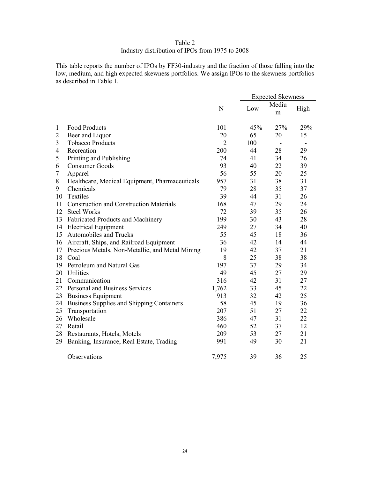# Table 2 Industry distribution of IPOs from 1975 to 2008

This table reports the number of IPOs by FF30-industry and the fraction of those falling into the low, medium, and high expected skewness portfolios. We assign IPOs to the skewness portfolios as described in Table 1.

|                |                                                 |                | <b>Expected Skewness</b> |                          |      |
|----------------|-------------------------------------------------|----------------|--------------------------|--------------------------|------|
|                |                                                 | N              | Low                      | Mediu<br>m               | High |
| $\mathbf{1}$   | <b>Food Products</b>                            | 101            | 45%                      | 27%                      | 29%  |
| $\overline{2}$ | Beer and Liquor                                 | 20             | 65                       | 20                       | 15   |
| 3              | <b>Tobacco Products</b>                         | $\overline{2}$ | 100                      | $\overline{\phantom{a}}$ |      |
| $\overline{4}$ | Recreation                                      | 200            | 44                       | 28                       | 29   |
| 5              | Printing and Publishing                         | 74             | 41                       | 34                       | 26   |
| 6              | <b>Consumer Goods</b>                           | 93             | 40                       | 22                       | 39   |
| 7              | Apparel                                         | 56             | 55                       | 20                       | 25   |
| 8              | Healthcare, Medical Equipment, Pharmaceuticals  | 957            | 31                       | 38                       | 31   |
| 9              | Chemicals                                       | 79             | 28                       | 35                       | 37   |
| 10             | Textiles                                        | 39             | 44                       | 31                       | 26   |
| 11             | <b>Construction and Construction Materials</b>  | 168            | 47                       | 29                       | 24   |
| 12             | <b>Steel Works</b>                              | 72             | 39                       | 35                       | 26   |
| 13             | Fabricated Products and Machinery               | 199            | 30                       | 43                       | 28   |
| 14             | <b>Electrical Equipment</b>                     | 249            | 27                       | 34                       | 40   |
| 15             | Automobiles and Trucks                          | 55             | 45                       | 18                       | 36   |
| 16             | Aircraft, Ships, and Railroad Equipment         | 36             | 42                       | 14                       | 44   |
| 17             | Precious Metals, Non-Metallic, and Metal Mining | 19             | 42                       | 37                       | 21   |
| 18             | Coal                                            | 8              | 25                       | 38                       | 38   |
| 19             | Petroleum and Natural Gas                       | 197            | 37                       | 29                       | 34   |
| 20             | <b>Utilities</b>                                | 49             | 45                       | 27                       | 29   |
| 21             | Communication                                   | 316            | 42                       | 31                       | 27   |
| 22             | Personal and Business Services                  | 1,762          | 33                       | 45                       | 22   |
| 23             | <b>Business Equipment</b>                       | 913            | 32                       | 42                       | 25   |
| 24             | Business Supplies and Shipping Containers       | 58             | 45                       | 19                       | 36   |
| 25             | Transportation                                  | 207            | 51                       | 27                       | 22   |
| 26             | Wholesale                                       | 386            | 47                       | 31                       | 22   |
| 27             | Retail                                          | 460            | 52                       | 37                       | 12   |
| 28             | Restaurants, Hotels, Motels                     | 209            | 53                       | 27                       | 21   |
| 29             | Banking, Insurance, Real Estate, Trading        | 991            | 49                       | 30                       | 21   |
|                | Observations                                    | 7,975          | 39                       | 36                       | 25   |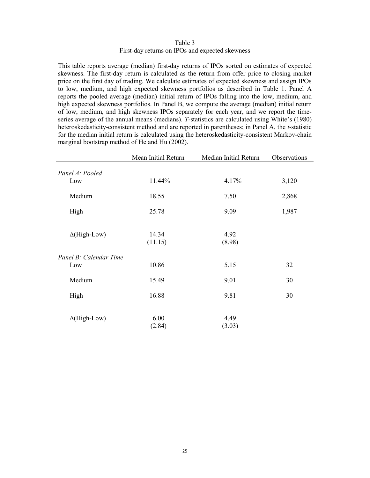Table 3 First-day returns on IPOs and expected skewness

This table reports average (median) first-day returns of IPOs sorted on estimates of expected skewness. The first-day return is calculated as the return from offer price to closing market price on the first day of trading. We calculate estimates of expected skewness and assign IPOs to low, medium, and high expected skewness portfolios as described in Table 1. Panel A reports the pooled average (median) initial return of IPOs falling into the low, medium, and high expected skewness portfolios. In Panel B, we compute the average (median) initial return of low, medium, and high skewness IPOs separately for each year, and we report the timeseries average of the annual means (medians). *T*-statistics are calculated using White's (1980) heteroskedasticity-consistent method and are reported in parentheses; in Panel A, the *t*-statistic for the median initial return is calculated using the heteroskedasticity-consistent Markov-chain marginal bootstrap method of He and Hu (2002).

|                        | Mean Initial Return | Median Initial Return | Observations |
|------------------------|---------------------|-----------------------|--------------|
| Panel A: Pooled        |                     |                       |              |
| Low                    | 11.44%              | 4.17%                 | 3,120        |
| Medium                 | 18.55               | 7.50                  | 2,868        |
| High                   | 25.78               | 9.09                  | 1,987        |
|                        |                     |                       |              |
| $\Delta$ (High-Low)    | 14.34<br>(11.15)    | 4.92<br>(8.98)        |              |
| Panel B: Calendar Time |                     |                       |              |
| Low                    | 10.86               | 5.15                  | 32           |
| Medium                 | 15.49               | 9.01                  | 30           |
| High                   | 16.88               | 9.81                  | 30           |
|                        |                     |                       |              |
| $\Delta$ (High-Low)    | 6.00<br>(2.84)      | 4.49<br>(3.03)        |              |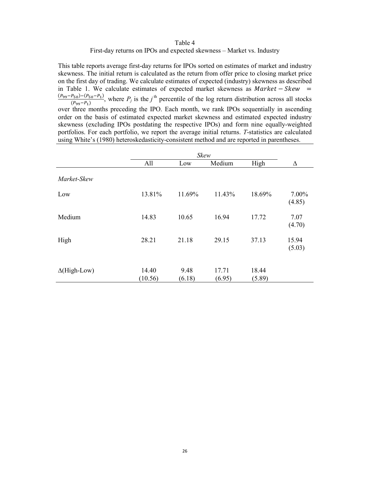# Table 4 First-day returns on IPOs and expected skewness – Market vs. Industry

This table reports average first-day returns for IPOs sorted on estimates of market and industry skewness. The initial return is calculated as the return from offer price to closing market price on the first day of trading. We calculate estimates of expected (industry) skewness as described in Table 1. We calculate estimates of expected market skewness as  $Market - Skew =$  $\frac{(P_{99}-P_{50})-(P_{50}-P_1)}{(P_{99}-P_1)}$ , where  $P_j$  is the *j*<sup>th</sup> percentile of the log return distribution across all stocks over three months preceding the IPO. Each month, we rank IPOs sequentially in ascending order on the basis of estimated expected market skewness and estimated expected industry skewness (excluding IPOs postdating the respective IPOs) and form nine equally-weighted portfolios. For each portfolio, we report the average initial returns. *T*-statistics are calculated using White's (1980) heteroskedasticity-consistent method and are reported in parentheses.

|                     | Skew             |                |                 |                 |                 |
|---------------------|------------------|----------------|-----------------|-----------------|-----------------|
|                     | All              | Low            | Medium          | High            | $\Delta$        |
| Market-Skew         |                  |                |                 |                 |                 |
| Low                 | 13.81%           | 11.69%         | 11.43%          | 18.69%          | 7.00%<br>(4.85) |
| Medium              | 14.83            | 10.65          | 16.94           | 17.72           | 7.07<br>(4.70)  |
| High                | 28.21            | 21.18          | 29.15           | 37.13           | 15.94<br>(5.03) |
| $\Delta$ (High-Low) | 14.40<br>(10.56) | 9.48<br>(6.18) | 17.71<br>(6.95) | 18.44<br>(5.89) |                 |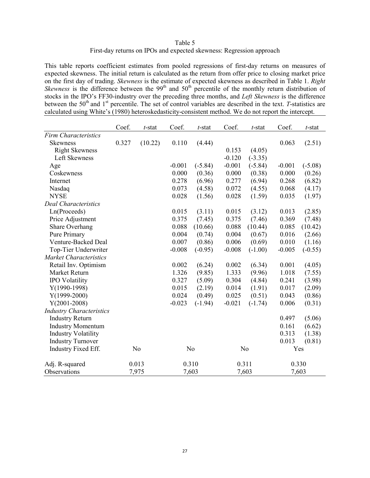| Table 5                                                              |  |
|----------------------------------------------------------------------|--|
| First-day returns on IPOs and expected skewness: Regression approach |  |

This table reports coefficient estimates from pooled regressions of first-day returns on measures of expected skewness. The initial return is calculated as the return from offer price to closing market price on the first day of trading. *Skewness* is the estimate of expected skewness as described in Table 1. *Right Skewness* is the difference between the  $99<sup>th</sup>$  and  $50<sup>th</sup>$  percentile of the monthly return distribution of stocks in the IPO's FF30-industry over the preceding three months, and *Left Skewness* is the difference between the 50<sup>th</sup> and 1<sup>st</sup> percentile. The set of control variables are described in the text. *T*-statistics are calculated using White's (1980) heteroskedasticity-consistent method. We do not report the intercept.

|                                 | Coef. | $t$ -stat      | Coef.    | $t$ -stat      | Coef.    | $t$ -stat      | Coef.    | $t$ -stat |
|---------------------------------|-------|----------------|----------|----------------|----------|----------------|----------|-----------|
| <b>Firm Characteristics</b>     |       |                |          |                |          |                |          |           |
| <b>Skewness</b>                 | 0.327 | (10.22)        | 0.110    | (4.44)         |          |                | 0.063    | (2.51)    |
| <b>Right Skewness</b>           |       |                |          |                | 0.153    | (4.05)         |          |           |
| Left Skewness                   |       |                |          |                | $-0.120$ | $(-3.35)$      |          |           |
| Age                             |       |                | $-0.001$ | $(-5.84)$      | $-0.001$ | $(-5.84)$      | $-0.001$ | $(-5.08)$ |
| Coskewness                      |       |                | 0.000    | (0.36)         | 0.000    | (0.38)         | 0.000    | (0.26)    |
| Internet                        |       |                | 0.278    | (6.96)         | 0.277    | (6.94)         | 0.268    | (6.82)    |
| Nasdaq                          |       |                | 0.073    | (4.58)         | 0.072    | (4.55)         | 0.068    | (4.17)    |
| <b>NYSE</b>                     |       |                | 0.028    | (1.56)         | 0.028    | (1.59)         | 0.035    | (1.97)    |
| <b>Deal Characteristics</b>     |       |                |          |                |          |                |          |           |
| Ln(Proceeds)                    |       |                | 0.015    | (3.11)         | 0.015    | (3.12)         | 0.013    | (2.85)    |
| Price Adjustment                |       |                | 0.375    | (7.45)         | 0.375    | (7.46)         | 0.369    | (7.48)    |
| Share Overhang                  |       |                | 0.088    | (10.66)        | 0.088    | (10.44)        | 0.085    | (10.42)   |
| Pure Primary                    |       |                | 0.004    | (0.74)         | 0.004    | (0.67)         | 0.016    | (2.66)    |
| Venture-Backed Deal             |       |                | 0.007    | (0.86)         | 0.006    | (0.69)         | 0.010    | (1.16)    |
| Top-Tier Underwriter            |       |                | $-0.008$ | $(-0.95)$      | $-0.008$ | $(-1.00)$      | $-0.005$ | $(-0.55)$ |
| Market Characteristics          |       |                |          |                |          |                |          |           |
| Retail Inv. Optimism            |       |                | 0.002    | (6.24)         | 0.002    | (6.34)         | 0.001    | (4.05)    |
| Market Return                   |       |                | 1.326    | (9.85)         | 1.333    | (9.96)         | 1.018    | (7.55)    |
| <b>IPO Volatility</b>           |       |                | 0.327    | (5.09)         | 0.304    | (4.84)         | 0.241    | (3.98)    |
| $Y(1990-1998)$                  |       |                | 0.015    | (2.19)         | 0.014    | (1.91)         | 0.017    | (2.09)    |
| $Y(1999-2000)$                  |       |                | 0.024    | (0.49)         | 0.025    | (0.51)         | 0.043    | (0.86)    |
| $Y(2001-2008)$                  |       |                | $-0.023$ | $(-1.94)$      | $-0.021$ | $(-1.74)$      | 0.006    | (0.31)    |
| <b>Industry Characteristics</b> |       |                |          |                |          |                |          |           |
| <b>Industry Return</b>          |       |                |          |                |          |                | 0.497    | (5.06)    |
| <b>Industry Momentum</b>        |       |                |          |                |          |                | 0.161    | (6.62)    |
| <b>Industry Volatility</b>      |       |                |          |                |          |                | 0.313    | (1.38)    |
| <b>Industry Turnover</b>        |       |                |          |                |          |                | 0.013    | (0.81)    |
| Industry Fixed Eff.             |       | N <sub>o</sub> |          | N <sub>0</sub> |          | N <sub>0</sub> |          | Yes       |
| Adj. R-squared                  |       | 0.013          |          | 0.310          |          | 0.311          |          | 0.330     |
| Observations                    |       | 7,975          |          | 7,603          |          | 7,603          |          | 7,603     |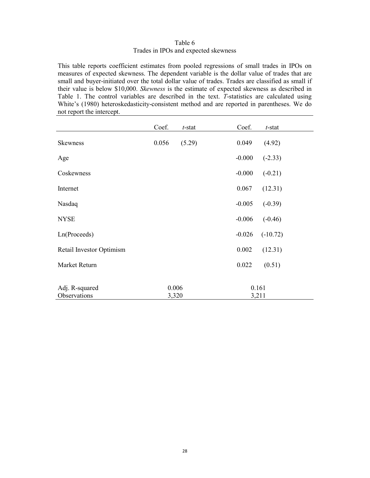# Table 6 Trades in IPOs and expected skewness

This table reports coefficient estimates from pooled regressions of small trades in IPOs on measures of expected skewness. The dependent variable is the dollar value of trades that are small and buyer-initiated over the total dollar value of trades. Trades are classified as small if their value is below \$10,000. *Skewness* is the estimate of expected skewness as described in Table 1. The control variables are described in the text. *T*-statistics are calculated using White's (1980) heteroskedasticity-consistent method and are reported in parentheses. We do not report the intercept.

|                                | Coef.          | $t$ -stat | Coef.          | $t$ -stat  |
|--------------------------------|----------------|-----------|----------------|------------|
| <b>Skewness</b>                | 0.056          | (5.29)    | 0.049          | (4.92)     |
| Age                            |                |           | $-0.000$       | $(-2.33)$  |
| Coskewness                     |                |           | $-0.000$       | $(-0.21)$  |
| Internet                       |                |           | 0.067          | (12.31)    |
| Nasdaq                         |                |           | $-0.005$       | $(-0.39)$  |
| <b>NYSE</b>                    |                |           | $-0.006$       | $(-0.46)$  |
| Ln(Proceeds)                   |                |           | $-0.026$       | $(-10.72)$ |
| Retail Investor Optimism       |                |           | 0.002          | (12.31)    |
| Market Return                  |                |           | 0.022          | (0.51)     |
|                                |                |           |                |            |
| Adj. R-squared<br>Observations | 0.006<br>3,320 |           | 0.161<br>3,211 |            |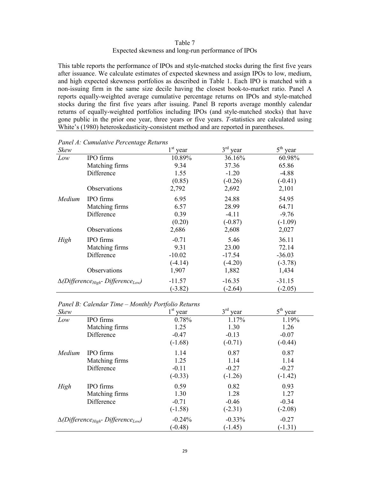Table 7 Expected skewness and long-run performance of IPOs

This table reports the performance of IPOs and style-matched stocks during the first five years after issuance. We calculate estimates of expected skewness and assign IPOs to low, medium, and high expected skewness portfolios as described in Table 1. Each IPO is matched with a non-issuing firm in the same size decile having the closest book-to-market ratio. Panel A reports equally-weighted average cumulative percentage returns on IPOs and style-matched stocks during the first five years after issuing. Panel B reports average monthly calendar returns of equally-weighted portfolios including IPOs (and style-matched stocks) that have gone public in the prior one year, three years or five years. *T*-statistics are calculated using White's (1980) heteroskedasticity-consistent method and are reported in parentheses.

| Skew                                                     |                | $1st$ year | $3rd$ year | $5th$ year |
|----------------------------------------------------------|----------------|------------|------------|------------|
| Low                                                      | IPO firms      | 10.89%     | 36.16%     | 60.98%     |
|                                                          | Matching firms | 9.34       | 37.36      | 65.86      |
|                                                          | Difference     | 1.55       | $-1.20$    | $-4.88$    |
|                                                          |                | (0.85)     | $(-0.26)$  | $(-0.41)$  |
|                                                          | Observations   | 2,792      | 2,692      | 2,101      |
| Medium                                                   | IPO firms      | 6.95       | 24.88      | 54.95      |
|                                                          | Matching firms | 6.57       | 28.99      | 64.71      |
|                                                          | Difference     | 0.39       | $-4.11$    | $-9.76$    |
|                                                          |                | (0.20)     | $(-0.87)$  | $(-1.09)$  |
|                                                          | Observations   | 2,686      | 2,608      | 2,027      |
| High                                                     | IPO firms      | $-0.71$    | 5.46       | 36.11      |
|                                                          | Matching firms | 9.31       | 23.00      | 72.14      |
|                                                          | Difference     | $-10.02$   | $-17.54$   | $-36.03$   |
|                                                          |                | $(-4.14)$  | $(-4.20)$  | $(-3.78)$  |
|                                                          | Observations   | 1,907      | 1,882      | 1,434      |
| $\Delta(Difference_{High}$ - Difference <sub>Low</sub> ) |                | $-11.57$   | $-16.35$   | $-31.15$   |
|                                                          |                | $(-3.82)$  | $(-2.64)$  | $(-2.05)$  |

*Panel A: Cumulative Percentage Returns*

*Panel B: Calendar Time – Monthly Portfolio Returns*

| <b>Skew</b> |                                                          | $1^{\rm{st}}$<br>year | 3 <sup>rd</sup><br>year | $5^{\text{th}}$<br>year |
|-------------|----------------------------------------------------------|-----------------------|-------------------------|-------------------------|
| Low         | IPO firms                                                | 0.78%                 | 1.17%                   | 1.19%                   |
|             | Matching firms                                           | 1.25                  | 1.30                    | 1.26                    |
|             | Difference                                               | $-0.47$               | $-0.13$                 | $-0.07$                 |
|             |                                                          | $(-1.68)$             | $(-0.71)$               | $(-0.44)$               |
| Medium      | IPO firms                                                | 1.14                  | 0.87                    | 0.87                    |
|             | Matching firms                                           | 1.25                  | 1.14                    | 1.14                    |
|             | Difference                                               | $-0.11$               | $-0.27$                 | $-0.27$                 |
|             |                                                          | $(-0.33)$             | $(-1.26)$               | $(-1.42)$               |
| High        | IPO firms                                                | 0.59                  | 0.82                    | 0.93                    |
|             | Matching firms                                           | 1.30                  | 1.28                    | 1.27                    |
|             | Difference                                               | $-0.71$               | $-0.46$                 | $-0.34$                 |
|             |                                                          | $(-1.58)$             | $(-2.31)$               | $(-2.08)$               |
|             | $\Delta(Difference_{High}$ - Difference <sub>Low</sub> ) | $-0.24%$              | $-0.33%$                | $-0.27$                 |
|             |                                                          | $(-0.48)$             | $(-1.45)$               | $(-1.31)$               |